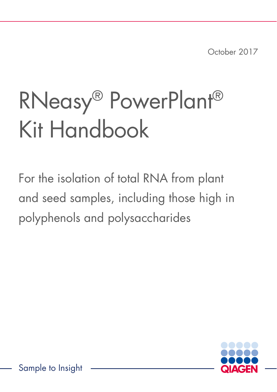October 2017

# RNeasy® PowerPlant® Kit Handbook

For the isolation of total RNA from plant and seed samples, including those high in polyphenols and polysaccharides

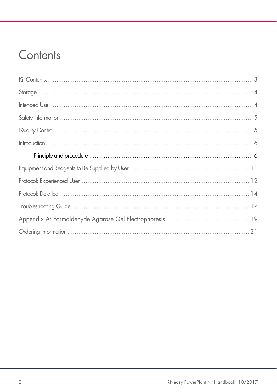### Contents

| $\begin{minipage}[c]{0.9\linewidth} \begin{minipage}[c]{0.9\linewidth} \begin{minipage}[c]{0.9\linewidth} \begin{minipage}[c]{0.9\linewidth} \begin{minipage}[c]{0.9\linewidth} \end{minipage}[c]{0.9\linewidth} \begin{minipage}[c]{0.9\linewidth} \begin{minipage}[c]{0.9\linewidth} \end{minipage}[c]{0.9\linewidth} \end{minipage}[c]{0.9\linewidth} \begin{minipage}[c]{0.9\linewidth} \begin{minipage}[c]{0.9\linewidth} \end{minipage}[c]{0.9\linewidth} \begin{minipage}[c]{0.9\linewidth} \end{minipage}[c]{0$ |
|-------------------------------------------------------------------------------------------------------------------------------------------------------------------------------------------------------------------------------------------------------------------------------------------------------------------------------------------------------------------------------------------------------------------------------------------------------------------------------------------------------------------------|
|                                                                                                                                                                                                                                                                                                                                                                                                                                                                                                                         |
|                                                                                                                                                                                                                                                                                                                                                                                                                                                                                                                         |
|                                                                                                                                                                                                                                                                                                                                                                                                                                                                                                                         |
|                                                                                                                                                                                                                                                                                                                                                                                                                                                                                                                         |
|                                                                                                                                                                                                                                                                                                                                                                                                                                                                                                                         |
|                                                                                                                                                                                                                                                                                                                                                                                                                                                                                                                         |
|                                                                                                                                                                                                                                                                                                                                                                                                                                                                                                                         |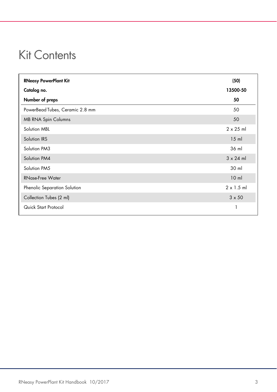### Kit Contents

| <b>RNeasy PowerPlant Kit</b>    | (50)              |
|---------------------------------|-------------------|
| Catalog no.                     | 13500-50          |
| Number of preps                 | 50                |
| PowerBead Tubes, Ceramic 2.8 mm | 50                |
| <b>MB RNA Spin Columns</b>      | 50                |
| Solution MBL                    | $2 \times 25$ ml  |
| Solution IRS                    | $15$ m            |
| Solution PM3                    | 36 ml             |
| Solution PM4                    | $3 \times 24$ ml  |
| Solution PM5                    | 30 ml             |
| <b>RNase-Free Water</b>         | 10 <sub>m</sub>   |
| Phenolic Separation Solution    | $2 \times 1.5$ ml |
| Collection Tubes (2 ml)         | $3 \times 50$     |
| Quick Start Protocol            |                   |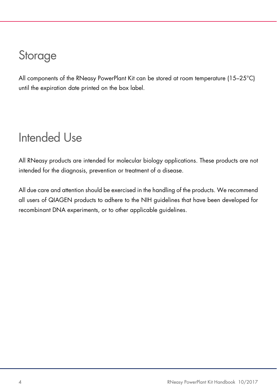### Storage

All components of the RNeasy PowerPlant Kit can be stored at room temperature (15–25°C) until the expiration date printed on the box label.

### Intended Use

All RNeasy products are intended for molecular biology applications. These products are not intended for the diagnosis, prevention or treatment of a disease.

All due care and attention should be exercised in the handling of the products. We recommend all users of QIAGEN products to adhere to the NIH guidelines that have been developed for recombinant DNA experiments, or to other applicable guidelines.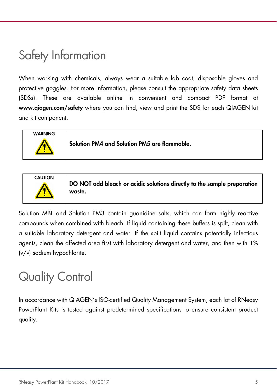### Safety Information

When working with chemicals, always wear a suitable lab coat, disposable gloves and protective goggles. For more information, please consult the appropriate safety data sheets (SDSs). These are available online in convenient and compact PDF format at www.qiagen.com/safety where you can find, view and print the SDS for each QIAGEN kit and kit component.



Solution PM4 and Solution PM5 are flammable.



Solution MBL and Solution PM3 contain guanidine salts, which can form highly reactive compounds when combined with bleach. If liquid containing these buffers is spilt, clean with a suitable laboratory detergent and water. If the spilt liquid contains potentially infectious agents, clean the affected area first with laboratory detergent and water, and then with 1% (v/v) sodium hypochlorite.

### Quality Control

In accordance with QIAGEN's ISO-certified Quality Management System, each lot of RNeasy PowerPlant Kits is tested against predetermined specifications to ensure consistent product quality.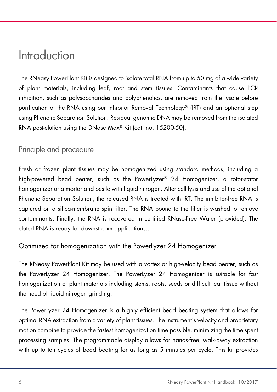### Introduction

The RNeasy PowerPlant Kit is designed to isolate total RNA from up to 50 mg of a wide variety of plant materials, including leaf, root and stem tissues. Contaminants that cause PCR inhibition, such as polysaccharides and polyphenolics, are removed from the lysate before purification of the RNA using our Inhibitor Removal Technology® (IRT) and an optional step using Phenolic Separation Solution. Residual genomic DNA may be removed from the isolated RNA post-elution using the DNase Max® Kit (cat. no. 15200-50).

#### Principle and procedure

Fresh or frozen plant tissues may be homogenized using standard methods, including a high-powered bead beater, such as the PowerLyzer® 24 Homogenizer, a rotor-stator homogenizer or a mortar and pestle with liquid nitrogen. After cell lysis and use of the optional Phenolic Separation Solution, the released RNA is treated with IRT. The inhibitor-free RNA is captured on a silica-membrane spin filter. The RNA bound to the filter is washed to remove contaminants. Finally, the RNA is recovered in certified RNase-Free Water (provided). The eluted RNA is ready for downstream applications..

#### Optimized for homogenization with the PowerLyzer 24 Homogenizer

The RNeasy PowerPlant Kit may be used with a vortex or high-velocity bead beater, such as the PowerLyzer 24 Homogenizer. The PowerLyzer 24 Homogenizer is suitable for fast homogenization of plant materials including stems, roots, seeds or difficult leaf tissue without the need of liquid nitrogen grinding.

The PowerLyzer 24 Homogenizer is a highly efficient bead beating system that allows for optimal RNA extraction from a variety of plant tissues. The instrument's velocity and proprietary motion combine to provide the fastest homogenization time possible, minimizing the time spent processing samples. The programmable display allows for hands-free, walk-away extraction with up to ten cycles of bead beating for as long as 5 minutes per cycle. This kit provides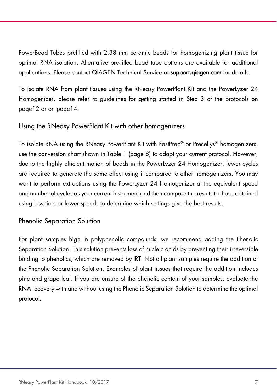PowerBead Tubes prefilled with 2.38 mm ceramic beads for homogenizing plant tissue for optimal RNA isolation. Alternative pre-filled bead tube options are available for additional applications. Please contact QIAGEN Technical Service at **support.giagen.com** for details.

To isolate RNA from plant tissues using the RNeasy PowerPlant Kit and the PowerLyzer 24 Homogenizer, please refer to guidelines for getting started in Step 3 of the protocols on page12 or on page14.

Using the RNeasy PowerPlant Kit with other homogenizers

To isolate RNA using the RNeasy PowerPlant Kit with FastPrep® or Precellys® homogenizers, use the conversion chart shown in Table 1 (page 8) to adapt your current protocol. However, due to the highly efficient motion of beads in the PowerLyzer 24 Homogenizer, fewer cycles are required to generate the same effect using it compared to other homogenizers. You may want to perform extractions using the PowerLyzer 24 Homogenizer at the equivalent speed and number of cycles as your current instrument and then compare the results to those obtained using less time or lower speeds to determine which settings give the best results.

Phenolic Separation Solution

For plant samples high in polyphenolic compounds, we recommend adding the Phenolic Separation Solution. This solution prevents loss of nucleic acids by preventing their irreversible binding to phenolics, which are removed by IRT. Not all plant samples require the addition of the Phenolic Separation Solution. Examples of plant tissues that require the addition includes pine and grape leaf. If you are unsure of the phenolic content of your samples, evaluate the RNA recovery with and without using the Phenolic Separation Solution to determine the optimal protocol.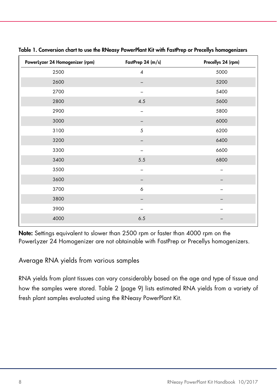| PowerLyzer 24 Homogenizer (rpm) | FastPrep 24 (m/s) | Precellys 24 (rpm) |
|---------------------------------|-------------------|--------------------|
| 2500                            | $\pmb{4}$         | 5000               |
| 2600                            |                   | 5200               |
| 2700                            |                   | 5400               |
| 2800                            | 4.5               | 5600               |
| 2900                            | -                 | 5800               |
| 3000                            |                   | 6000               |
| 3100                            | 5                 | 6200               |
| 3200                            |                   | 6400               |
| 3300                            |                   | 6600               |
| 3400                            | $5.5$             | 6800               |
| 3500                            | -                 |                    |
| 3600                            |                   |                    |
| 3700                            | 6                 |                    |
| 3800                            |                   |                    |
| 3900                            |                   |                    |
| 4000                            | 6.5               |                    |

Table 1. Conversion chart to use the RNeasy PowerPlant Kit with FastPrep or Precellys homogenizers

Note: Settings equivalent to slower than 2500 rpm or faster than 4000 rpm on the PowerLyzer 24 Homogenizer are not obtainable with FastPrep or Precellys homogenizers.

Average RNA yields from various samples

RNA yields from plant tissues can vary considerably based on the age and type of tissue and how the samples were stored. Table 2 (page 9) lists estimated RNA yields from a variety of fresh plant samples evaluated using the RNeasy PowerPlant Kit.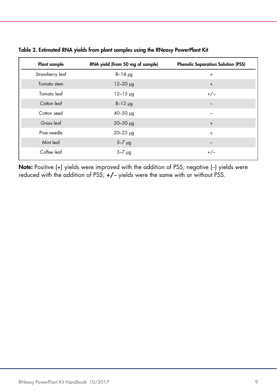| <b>Plant sample</b> | RNA yield (from 50 mg of sample) | <b>Phenolic Separation Solution (PSS)</b> |
|---------------------|----------------------------------|-------------------------------------------|
| Strawberry leaf     | $8 - 14$ $\mu$ g                 | $\ddot{}$                                 |
| Tomato stem         | $12 - 20$ $\mu$ g                | $\ddot{}$                                 |
| Tomato leaf         | $12 - 15$ $\mu$ g                | $+/-$                                     |
| Cotton leaf         | $8 - 13$ $\mu$ g                 |                                           |
| Cotton seed         | $40 - 50$ $\mu$ g                |                                           |
| Grass leaf          | $20 - 30$ $\mu$ g                | $\ddot{}$                                 |
| Pine needle         | $20 - 25$ $\mu$ g                | $\ddot{}$                                 |
| Mint leaf           | $5-7$ $\mu$ g                    |                                           |
| Coffee leaf         | $3 - 7$ $\mu$ g                  | $+/-$                                     |

Table 2. Estimated RNA yields from plant samples using the RNeasy PowerPlant Kit

Note: Positive (+) yields were improved with the addition of PSS; negative (-) yields were reduced with the addition of PSS; +/– yields were the same with or without PSS.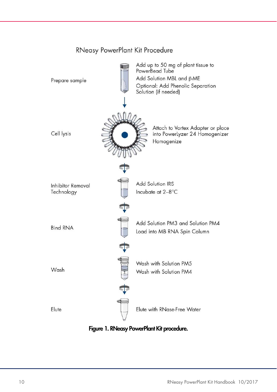

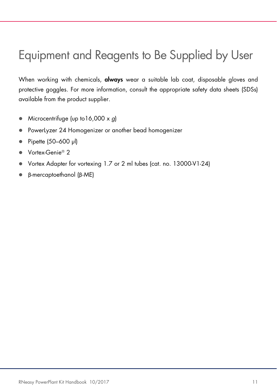### Equipment and Reagents to Be Supplied by User

When working with chemicals, **always** wear a suitable lab coat, disposable gloves and protective goggles. For more information, consult the appropriate safety data sheets (SDSs) available from the product supplier.

- Microcentrifuge (up to  $16,000 \times g$ )
- **•** PowerLyzer 24 Homogenizer or another bead homogenizer
- Pipette (50–600 µl)
- Vortex-Genie<sup>®</sup> 2
- Vortex Adapter for vortexing 1.7 or 2 ml tubes (cat. no. 13000-V1-24)
- β-mercaptoethanol (β-ME)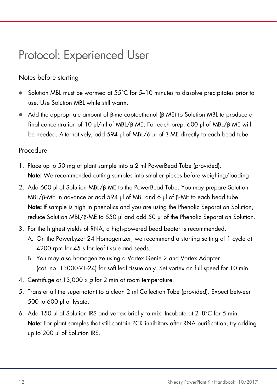### Protocol: Experienced User

#### Notes before starting

- Solution MBL must be warmed at 55°C for 5–10 minutes to dissolve precipitates prior to use. Use Solution MBL while still warm.
- Add the appropriate amount of β-mercaptoethanol (β-ME) to Solution MBL to produce a final concentration of 10 µl/ml of MBL/β-ME. For each prep, 600 µl of MBL/β-ME will be needed. Alternatively, add 594 µl of MBL/6 µl of β-ME directly to each bead tube.

#### Procedure

- 1. Place up to 50 mg of plant sample into a 2 ml PowerBead Tube (provided). Note: We recommended cutting samples into smaller pieces before weighing/loading.
- 2. Add 600 µl of Solution MBL/β-ME to the PowerBead Tube. You may prepare Solution MBL/β-ME in advance or add 594 µl of MBL and 6 µl of β-ME to each bead tube. Note: If sample is high in phenolics and you are using the Phenolic Separation Solution, reduce Solution MBL/β-ME to 550 µl and add 50 µl of the Phenolic Separation Solution.
- 3. For the highest yields of RNA, a high-powered bead beater is recommended.
	- A. On the PowerLyzer 24 Homogenizer, we recommend a starting setting of 1 cycle at 4200 rpm for 45 s for leaf tissue and seeds.
	- B. You may also homogenize using a Vortex Genie 2 and Vortex Adapter (cat. no. 13000-V1-24) for soft leaf tissue only. Set vortex on full speed for 10 min.
- 4. Centrifuge at 13,000 x g for 2 min at room temperature.
- 5. Transfer all the supernatant to a clean 2 ml Collection Tube (provided). Expect between 500 to 600 µl of lysate.
- 6. Add 150 µl of Solution IRS and vortex briefly to mix. Incubate at 2–8°C for 5 min. Note: For plant samples that still contain PCR inhibitors after RNA purification, try adding up to 200 µl of Solution IRS.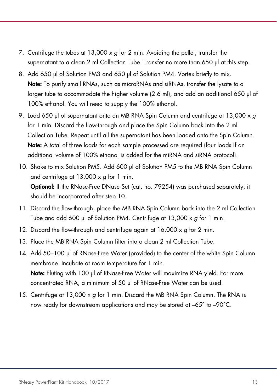- 7. Centrifuge the tubes at  $13,000 \times g$  for 2 min. Avoiding the pellet, transfer the supernatant to a clean 2 ml Collection Tube. Transfer no more than 650 µl at this step.
- 8. Add 650 µl of Solution PM3 and 650 µl of Solution PM4. Vortex briefly to mix. Note: To purify small RNAs, such as microRNAs and siRNAs, transfer the lysate to a larger tube to accommodate the higher volume (2.6 ml), and add an additional 650 µl of 100% ethanol. You will need to supply the 100% ethanol.
- 9. Load 650 µl of supernatant onto an MB RNA Spin Column and centrifuge at 13,000 x g for 1 min. Discard the flow-through and place the Spin Column back into the 2 ml Collection Tube. Repeat until all the supernatant has been loaded onto the Spin Column. Note: A total of three loads for each sample processed are required (four loads if an additional volume of 100% ethanol is added for the miRNA and siRNA protocol).
- 10. Shake to mix Solution PM5. Add 600 µl of Solution PM5 to the MB RNA Spin Column and centrifuge at  $13,000 \times q$  for 1 min. Optional: If the RNase-Free DNase Set (cat. no. 79254) was purchased separately, it should be incorporated after step 10.
- 11. Discard the flow-through, place the MB RNA Spin Column back into the 2 ml Collection Tube and add 600 µl of Solution PM4. Centrifuge at  $13,000 \times g$  for 1 min.
- 12. Discard the flow-through and centrifuge again at  $16,000 \times g$  for 2 min.
- 13. Place the MB RNA Spin Column filter into a clean 2 ml Collection Tube.
- 14. Add 50–100 µl of RNase-Free Water (provided) to the center of the white Spin Column membrane. Incubate at room temperature for 1 min. Note: Eluting with 100 µl of RNase-Free Water will maximize RNA yield. For more concentrated RNA, a minimum of 50 µl of RNase-Free Water can be used.
- 15. Centrifuge at 13,000 x g for 1 min. Discard the MB RNA Spin Column. The RNA is now ready for downstream applications and may be stored at –65° to –90°C.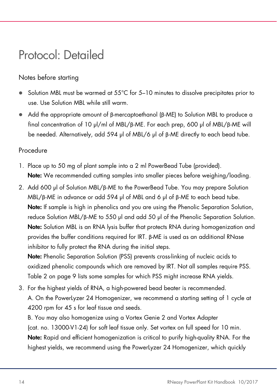### Protocol: Detailed

#### Notes before starting

- Solution MBL must be warmed at 55°C for 5–10 minutes to dissolve precipitates prior to use. Use Solution MBL while still warm.
- Add the appropriate amount of β-mercaptoethanol (β-ME) to Solution MBL to produce a final concentration of 10 µl/ml of MBL/β-ME. For each prep, 600 µl of MBL/β-ME will be needed. Alternatively, add 594 µl of MBL/6 µl of β-ME directly to each bead tube.

#### Procedure

- 1. Place up to 50 mg of plant sample into a 2 ml PowerBead Tube (provided). Note: We recommended cutting samples into smaller pieces before weighing/loading.
- 2. Add 600 µl of Solution MBL/β-ME to the PowerBead Tube. You may prepare Solution MBL/β-ME in advance or add 594 µl of MBL and 6 µl of β-ME to each bead tube. Note: If sample is high in phenolics and you are using the Phenolic Separation Solution, reduce Solution MBL/β-ME to 550 µl and add 50 µl of the Phenolic Separation Solution. Note: Solution MBL is an RNA lysis buffer that protects RNA during homogenization and provides the buffer conditions required for IRT. β-ME is used as an additional RNase inhibitor to fully protect the RNA during the initial steps.

Note: Phenolic Separation Solution (PSS) prevents cross-linking of nucleic acids to oxidized phenolic compounds which are removed by IRT. Not all samples require PSS. Table 2 on page 9 lists some samples for which PSS might increase RNA yields.

3. For the highest yields of RNA, a high-powered bead beater is recommended. A. On the PowerLyzer 24 Homogenizer, we recommend a starting setting of 1 cycle at 4200 rpm for 45 s for leaf tissue and seeds.

B. You may also homogenize using a Vortex Genie 2 and Vortex Adapter (cat. no. 13000-V1-24) for soft leaf tissue only. Set vortex on full speed for 10 min. Note: Rapid and efficient homogenization is critical to purify high-quality RNA. For the highest yields, we recommend using the PowerLyzer 24 Homogenizer, which quickly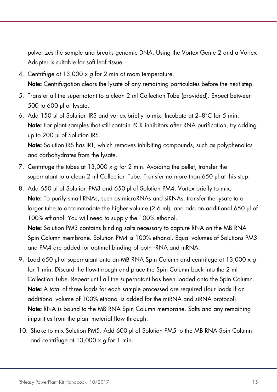pulverizes the sample and breaks genomic DNA. Using the Vortex Genie 2 and a Vortex Adapter is suitable for soft leaf tissue.

- 4. Centrifuge at 13,000 x g for 2 min at room temperature. Note: Centrifugation clears the lysate of any remaining particulates before the next step.
- 5. Transfer all the supernatant to a clean 2 ml Collection Tube (provided). Expect between 500 to 600 µl of lysate.
- 6. Add 150 µl of Solution IRS and vortex briefly to mix. Incubate at 2–8°C for 5 min. Note: For plant samples that still contain PCR inhibitors after RNA purification, try adding up to 200 µl of Solution IRS.

Note: Solution IRS has IRT, which removes inhibiting compounds, such as polyphenolics and carbohydrates from the lysate.

- 7. Centrifuge the tubes at 13,000 x g for 2 min. Avoiding the pellet, transfer the supernatant to a clean 2 ml Collection Tube. Transfer no more than 650 µl at this step.
- 8. Add 650 µl of Solution PM3 and 650 µl of Solution PM4. Vortex briefly to mix. Note: To purify small RNAs, such as microRNAs and siRNAs, transfer the lysate to a larger tube to accommodate the higher volume (2.6 ml), and add an additional 650 µl of 100% ethanol. You will need to supply the 100% ethanol.

Note: Solution PM3 contains binding salts necessary to capture RNA on the MB RNA Spin Column membrane. Solution PM4 is 100% ethanol. Equal volumes of Solutions PM3 and PM4 are added for optimal binding of both rRNA and mRNA.

- 9. Load 650 µl of supernatant onto an MB RNA Spin Column and centrifuge at 13,000  $\times g$ for 1 min. Discard the flow-through and place the Spin Column back into the 2 ml Collection Tube. Repeat until all the supernatant has been loaded onto the Spin Column. Note: A total of three loads for each sample processed are required (four loads if an additional volume of 100% ethanol is added for the miRNA and siRNA protocol). Note: RNA is bound to the MB RNA Spin Column membrane. Salts and any remaining impurities from the plant material flow through.
- 10. Shake to mix Solution PM5. Add 600 µl of Solution PM5 to the MB RNA Spin Column and centrifuge at  $13,000 \times g$  for 1 min.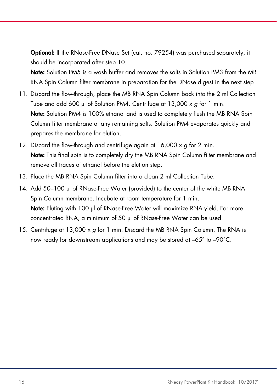Optional: If the RNase-Free DNase Set (cat. no. 79254) was purchased separately, it should be incorporated after step 10.

Note: Solution PM5 is a wash buffer and removes the salts in Solution PM3 from the MB RNA Spin Column filter membrane in preparation for the DNase digest in the next step

- 11. Discard the flow-through, place the MB RNA Spin Column back into the 2 ml Collection Tube and add 600 µl of Solution PM4. Centrifuge at 13,000 x g for 1 min. Note: Solution PM4 is 100% ethanol and is used to completely flush the MB RNA Spin Column filter membrane of any remaining salts. Solution PM4 evaporates quickly and prepares the membrane for elution.
- 12. Discard the flow-through and centrifuge again at 16,000 x q for 2 min. Note: This final spin is to completely dry the MB RNA Spin Column filter membrane and remove all traces of ethanol before the elution step.
- 13. Place the MB RNA Spin Column filter into a clean 2 ml Collection Tube.
- 14. Add 50–100 µl of RNase-Free Water (provided) to the center of the white MB RNA Spin Column membrane. Incubate at room temperature for 1 min. Note: Eluting with 100 µl of RNase-Free Water will maximize RNA yield. For more concentrated RNA, a minimum of 50 µl of RNase-Free Water can be used.
- 15. Centrifuge at 13,000 x g for 1 min. Discard the MB RNA Spin Column. The RNA is now ready for downstream applications and may be stored at –65° to –90°C.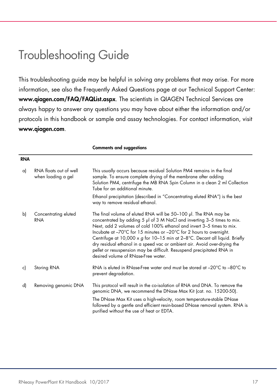### Troubleshooting Guide

This troubleshooting guide may be helpful in solving any problems that may arise. For more information, see also the Frequently Asked Questions page at our Technical Support Center: www.qiagen.com/FAQ/FAQList.aspx. The scientists in QIAGEN Technical Services are always happy to answer any questions you may have about either the information and/or protocols in this handbook or sample and assay technologies. For contact information, visit www.qiagen.com.

Comments and suggestions

|     |                                              | comments and suggesnons                                                                                                                                                                                                                                                                                                                                                                                                                                                                                                                                                     |
|-----|----------------------------------------------|-----------------------------------------------------------------------------------------------------------------------------------------------------------------------------------------------------------------------------------------------------------------------------------------------------------------------------------------------------------------------------------------------------------------------------------------------------------------------------------------------------------------------------------------------------------------------------|
| RNA |                                              |                                                                                                                                                                                                                                                                                                                                                                                                                                                                                                                                                                             |
| a)  | RNA floats out of well<br>when loading a gel | This usually occurs because residual Solution PM4 remains in the final<br>sample. To ensure complete drying of the membrane after adding<br>Solution PM4, centrifuge the MB RNA Spin Column in a clean 2 ml Collection<br>Tube for an additional minute.                                                                                                                                                                                                                                                                                                                    |
|     |                                              | Ethanol precipitation (described in "Concentrating eluted RNA") is the best<br>way to remove residual ethanol.                                                                                                                                                                                                                                                                                                                                                                                                                                                              |
| b)  | Concentrating eluted<br><b>RNA</b>           | The final volume of eluted RNA will be 50–100 µl. The RNA may be<br>concentrated by adding 5 µl of 3 M NaCl and inverting 3-5 times to mix.<br>Next, add 2 volumes of cold 100% ethanol and invert 3-5 times to mix.<br>Incubate at -70°C for 15 minutes or -20°C for 2 hours to overnight.<br>Centrifuge at 10,000 x g for 10-15 min at $2-8$ °C. Decant all liquid. Briefly<br>dry residual ethanol in a speed vac or ambient air. Avoid over-drying the<br>pellet or resuspension may be difficult. Resuspend precipitated RNA in<br>desired volume of RNase-Free water. |
| c)  | Storing RNA                                  | RNA is eluted in RNase-Free water and must be stored at $-20^{\circ}$ C to $-80^{\circ}$ C to<br>prevent degradation.                                                                                                                                                                                                                                                                                                                                                                                                                                                       |
| d)  | Removing genomic DNA                         | This protocol will result in the co-isolation of RNA and DNA. To remove the<br>genomic DNA, we recommend the DNase Max Kit (cat. no. 15200-50).<br>The DNase Max Kit uses a high-velocity, room temperature-stable DNase<br>followed by a gentle and efficient resin-based DNase removal system. RNA is<br>purified without the use of heat or EDTA.                                                                                                                                                                                                                        |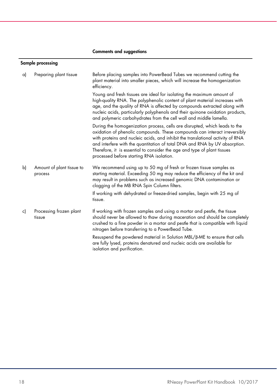#### Comments and suggestions

#### Sample processing

| a) | Preparing plant tissue               | Before placing samples into PowerBead Tubes we recommend cutting the<br>plant material into smaller pieces, which will increase the homogenization<br>efficiency.                                                                                                                                                                                                                                                                                |
|----|--------------------------------------|--------------------------------------------------------------------------------------------------------------------------------------------------------------------------------------------------------------------------------------------------------------------------------------------------------------------------------------------------------------------------------------------------------------------------------------------------|
|    |                                      | Young and fresh tissues are ideal for isolating the maximum amount of<br>high-quality RNA. The polyphenolic content of plant material increases with<br>age, and the quality of RNA is affected by compounds extracted along with<br>nucleic acids, particularly polyphenols and their quinone oxidation products,<br>and polymeric carbohydrates from the cell wall and middle lamella.                                                         |
|    |                                      | During the homogenization process, cells are disrupted, which leads to the<br>oxidation of phenolic compounds. These compounds can interact irreversibly<br>with proteins and nucleic acids, and inhibit the translational activity of RNA<br>and interfere with the quantitation of total DNA and RNA by UV absorption.<br>Therefore, it is essential to consider the age and type of plant tissues<br>processed before starting RNA isolation. |
| b) | Amount of plant tissue to<br>process | We recommend using up to 50 mg of fresh or frozen tissue samples as<br>starting material. Exceeding 50 mg may reduce the efficiency of the kit and<br>may result in problems such as increased genomic DNA contamination or<br>clogging of the MB RNA Spin Column filters.                                                                                                                                                                       |
|    |                                      | If working with dehydrated or freeze-dried samples, begin with 25 mg of<br>tissue.                                                                                                                                                                                                                                                                                                                                                               |
| c) | Processing frozen plant<br>tissue    | If working with frozen samples and using a mortar and pestle, the tissue<br>should never be allowed to thaw during maceration and should be completely<br>crushed to a fine powder in a mortar and pestle that is compatible with liquid<br>nitrogen before transferring to a PowerBead Tube.                                                                                                                                                    |
|    |                                      | Resuspend the powdered material in Solution MBL/B-ME to ensure that cells<br>are fully lysed, proteins denatured and nucleic acids are available for<br>isolation and purification.                                                                                                                                                                                                                                                              |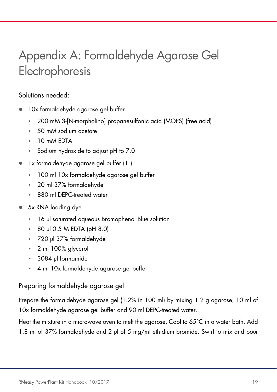## Appendix A: Formaldehyde Agarose Gel Electrophoresis

#### Solutions needed:

- 10x formaldehyde agarose gel buffer
	- 200 mM 3-[N-morpholino] propanesulfonic acid (MOPS) (free acid)
	- 50 mM sodium acetate
	- 10 mM EDTA
	- Sodium hydroxide to adjust pH to 7.0
- 1x formaldehyde agarose gel buffer (1L)
	- 100 ml 10x formaldehyde agarose gel buffer
	- 20 ml 37% formaldehyde
	- 880 ml DEPC-treated water
- 5x RNA loading dye
	- 16 μl saturated aqueous Bromophenol Blue solution
	- 80 μl 0.5 M EDTA (pH 8.0)
	- 720 μl 37% formaldehyde
	- 2 ml 100% glycerol
	- 3084 μl formamide
	- 4 ml 10x formaldehyde agarose gel buffer

#### Preparing formaldehyde agarose gel

Prepare the formaldehyde agarose gel (1.2% in 100 ml) by mixing 1.2 g agarose, 10 ml of 10x formaldehyde agarose gel buffer and 90 ml DEPC-treated water.

Heat the mixture in a microwave oven to melt the agarose. Cool to 65°C in a water bath. Add 1.8 ml of 37% formaldehyde and 2 μl of 5 mg/ml ethidium bromide. Swirl to mix and pour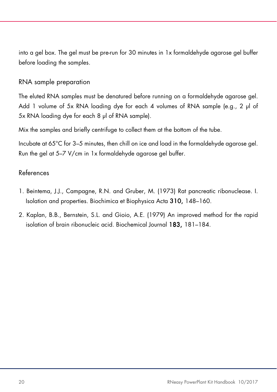into a gel box. The gel must be pre-run for 30 minutes in 1x formaldehyde agarose gel buffer before loading the samples.

#### RNA sample preparation

The eluted RNA samples must be denatured before running on a formaldehyde agarose gel. Add 1 volume of 5x RNA loading dye for each 4 volumes of RNA sample (e.g., 2 μl of 5x RNA loading dye for each 8 μl of RNA sample).

Mix the samples and briefly centrifuge to collect them at the bottom of the tube.

Incubate at 65°C for 3–5 minutes, then chill on ice and load in the formaldehyde agarose gel. Run the gel at 5–7 V/cm in 1x formaldehyde agarose gel buffer.

#### References

- 1. Beintema, J.J., Campagne, R.N. and Gruber, M. (1973) Rat pancreatic ribonuclease. I. Isolation and properties. Biochimica et Biophysica Acta 310, 148–160.
- 2. Kaplan, B.B., Bernstein, S.L. and Gioio, A.E. (1979) An improved method for the rapid isolation of brain ribonucleic acid. Biochemical Journal 183, 181–184.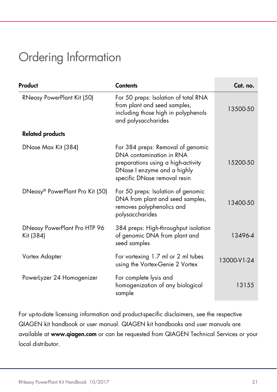### Ordering Information

| Product                                   | <b>Contents</b>                                                                                                                                                    | Cat. no.    |
|-------------------------------------------|--------------------------------------------------------------------------------------------------------------------------------------------------------------------|-------------|
| RNeasy PowerPlant Kit (50)                | For 50 preps: Isolation of total RNA<br>from plant and seed samples,<br>including those high in polyphenols<br>and polysaccharides                                 | 13500-50    |
| <b>Related products</b>                   |                                                                                                                                                                    |             |
| DNase Max Kit (384)                       | For 384 preps: Removal of genomic<br>DNA contamination in RNA<br>preparations using a high-activity<br>DNase I enzyme and a highly<br>specific DNase removal resin | 15200-50    |
| DNeasy® PowerPlant Pro Kit (50)           | For 50 preps: Isolation of genomic<br>DNA from plant and seed samples,<br>removes polyphenolics and<br>polysaccharides                                             | 13400-50    |
| DNeasy PowerPlant Pro HTP 96<br>Kit (384) | 384 preps: High-throughput isolation<br>of genomic DNA from plant and<br>seed samples                                                                              | 13496-4     |
| Vortex Adapter                            | For vortexing 1.7 ml or 2 ml tubes<br>using the Vortex-Genie 2 Vortex                                                                                              | 13000-V1-24 |
| Powerlyzer 24 Homogenizer                 | For complete lysis and<br>homogenization of any biological<br>sample                                                                                               | 13155       |

For up-to-date licensing information and product-specific disclaimers, see the respective QIAGEN kit handbook or user manual. QIAGEN kit handbooks and user manuals are available at www.qiagen.com or can be requested from QIAGEN Technical Services or your local distributor.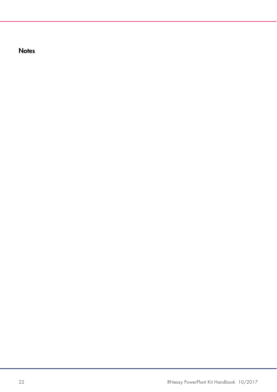**Notes**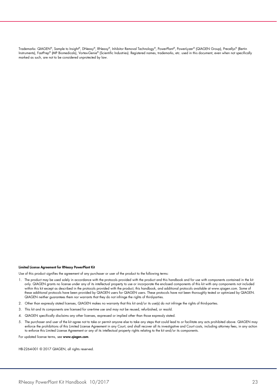Trademarks: QIAGEN®, Sample to Insight®, DNeasy®, RNeasy®, Inhibitor Removal Technology®, PowerPlant®, PowerLyzer® (QIAGEN Group), Precellys® (Bertin Instruments), FastPrep® (MP Biomedicals), Vortex-Genie® (Scientific Industries). Registered names, trademarks, etc. used in this document, even when not specifically marked as such, are not to be considered unprotected by law.

#### Limited License Agreement for RNeasy PowerPlant Kit

Use of this product signifies the agreement of any purchaser or user of the product to the following terms:

- 1. The product may be used solely in accordance with the protocols provided with the product and this handbook and for use with components contained in the kit only. QIAGEN grants no license under any of its intellectual property to use or incorporate the enclosed components of this kit with any components not included within this kit except as described in the protocols provided with the product, this handbook, and additional protocols available at www.qiagen.com. Some of these additional protocols have been provided by QIAGEN users for QIAGEN users. These protocols have not been thoroughly tested or optimized by QIAGEN. QIAGEN neither guarantees them nor warrants that they do not infringe the rights of third-parties.
- 2. Other than expressly stated licenses, QIAGEN makes no warranty that this kit and/or its use(s) do not infringe the rights of third-parties.
- 3. This kit and its components are licensed for one-time use and may not be reused, refurbished, or resold.
- 4. QIAGEN specifically disclaims any other licenses, expressed or implied other than those expressly stated.
- 5. The purchaser and user of the kit agree not to take or permit anyone else to take any steps that could lead to or facilitate any acts prohibited above. QIAGEN may<br>enforce the prohibitions of this Limited License Agreeme to enforce this Limited License Agreement or any of its intellectual property rights relating to the kit and/or its components.

For updated license terms, see www.qiagen.com

HB-2264-001 © 2017 QIAGEN, all rights reserved.